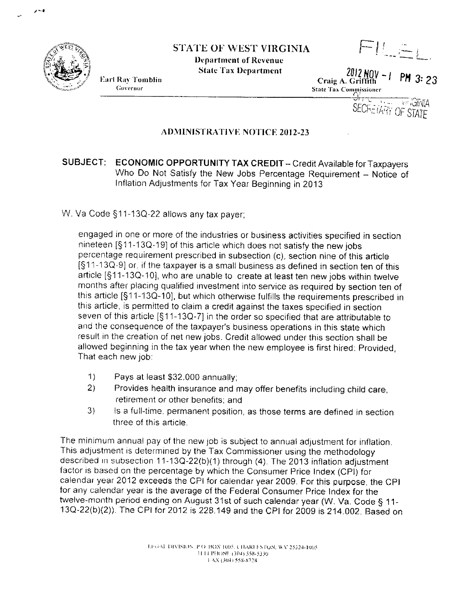

## STATE OF WEST VIRGINIA

**Department of Revenue State Tax Department** 



 $FI=1$  $2012 NQV - 1 P M 3: 23$ 

Craig A. Griffith State Tax Commissioner

**SECRETARY OF STATE** ᡃᢣᡰ᠇ *VEGINIA* 

## **ADMINISTRATIVE NOTICE 2012-23**

## SUBJECT: ECONOMIC OPPORTUNITY TAX CREDIT - Credit Available for Taxpayers Who Do Not Satisfy the New Jobs Percentage Requirement - Notice of Inflation Adjustments for Tax Year Beginning in 2013

W. Va Code §11-13Q-22 allows any tax payer:

engaged in one or more of the industries or business activities specified in section nineteen [§11-13Q-19] of this article which does not satisfy the new jobs percentage requirement prescribed in subsection (c), section nine of this article [§11-13Q-9] or, if the taxpayer is a small business as defined in section ten of this article [§11-13Q-10], who are unable to create at least ten new jobs within twelve months after placing qualified investment into service as required by section ten of this article [§11-13Q-10], but which otherwise fulfills the requirements prescribed in this article, is permitted to claim a credit against the taxes specified in section seven of this article [§11-13Q-7] in the order so specified that are attributable to and the consequence of the taxpayer's business operations in this state which result in the creation of net new jobs. Credit allowed under this section shall be allowed beginning in the tax year when the new employee is first hired: Provided, That each new job:

- Pays at least \$32,000 annually;  $1)$
- $2)$ Provides health insurance and may offer benefits including child care, retirement or other benefits; and
- $3)$ Is a full-time, permanent position, as those terms are defined in section three of this article.

The minimum annual pay of the new job is subject to annual adjustment for inflation. This adjustment is determined by the Tax Commissioner using the methodology described in subsection 11-13Q-22(b)(1) through (4). The 2013 inflation adjustment factor is based on the percentage by which the Consumer Price Index (CPI) for calendar year 2012 exceeds the CPI for calendar year 2009. For this purpose, the CPI for any calendar year is the average of the Federal Consumer Price Index for the twelve-month period ending on August 31st of such calendar year (W. Va. Code § 11-13Q-22(b)(2)). The CPI for 2012 is 228.149 and the CPI for 2009 is 214.002. Based on